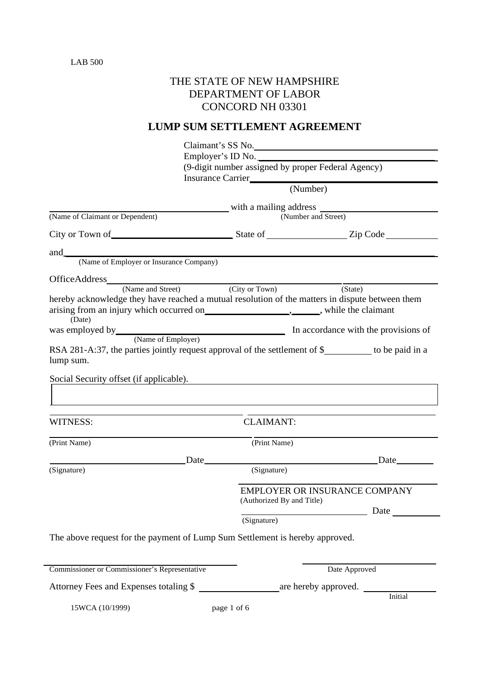# THE STATE OF NEW HAMPSHIRE DEPARTMENT OF LABOR CONCORD NH 03301

# **LUMP SUM SETTLEMENT AGREEMENT**

|                                                                                                                                                             | Claimant's SS No.<br>Employer's ID No.<br>(9-digit number assigned by proper Federal Agency)<br>Insurance Carrier |                                      |
|-------------------------------------------------------------------------------------------------------------------------------------------------------------|-------------------------------------------------------------------------------------------------------------------|--------------------------------------|
|                                                                                                                                                             | $\overline{\text{(Number)}}$                                                                                      |                                      |
| (Name of Claimant or Dependent)                                                                                                                             |                                                                                                                   | (Number and Street)                  |
| City or Town of State of State of State of State City or Town of                                                                                            |                                                                                                                   |                                      |
|                                                                                                                                                             |                                                                                                                   |                                      |
| and<br>(Name of Employer or Insurance Company)                                                                                                              |                                                                                                                   |                                      |
|                                                                                                                                                             |                                                                                                                   |                                      |
| Office Address (Name and Street) (City or Town)                                                                                                             |                                                                                                                   | (State)                              |
| hereby acknowledge they have reached a mutual resolution of the matters in dispute between them<br>(Date)                                                   |                                                                                                                   |                                      |
| was employed by<br>(Name of Employer) In accordance with the provisions of<br>(Name of Employer)                                                            |                                                                                                                   |                                      |
| RSA 281-A:37, the parties jointly request approval of the settlement of \$_________ to be paid in a<br>lump sum.<br>Social Security offset (if applicable). |                                                                                                                   |                                      |
|                                                                                                                                                             |                                                                                                                   |                                      |
| the control of the control of the control of the control of the control of the control of the control of the control of<br>WITNESS:                         | <b>CLAIMANT:</b>                                                                                                  |                                      |
| (Print Name)                                                                                                                                                | (Print Name)                                                                                                      |                                      |
|                                                                                                                                                             | Date                                                                                                              | <u>Date</u>                          |
| (Signature)                                                                                                                                                 | (Signature)                                                                                                       |                                      |
|                                                                                                                                                             | (Authorized By and Title)                                                                                         | <b>EMPLOYER OR INSURANCE COMPANY</b> |
|                                                                                                                                                             | (Signature)                                                                                                       | Date                                 |
| The above request for the payment of Lump Sum Settlement is hereby approved.                                                                                |                                                                                                                   |                                      |
| Commissioner or Commissioner's Representative                                                                                                               |                                                                                                                   | Date Approved                        |
| Attorney Fees and Expenses totaling \$                                                                                                                      |                                                                                                                   | are hereby approved.<br>Initial      |
| 15WCA (10/1999)                                                                                                                                             | page 1 of 6                                                                                                       |                                      |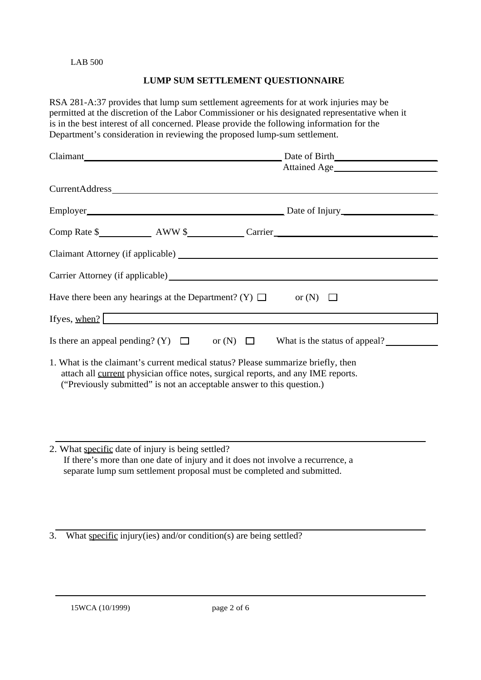# **LUMP SUM SETTLEMENT QUESTIONNAIRE**

RSA 281-A:37 provides that lump sum settlement agreements for at work injuries may be permitted at the discretion of the Labor Commissioner or his designated representative when it is in the best interest of all concerned. Please provide the following information for the Department's consideration in reviewing the proposed lump-sum settlement.

| Employer<br><u>Employer</u><br>Date of Injury                                                                                                                                                                                                   |
|-------------------------------------------------------------------------------------------------------------------------------------------------------------------------------------------------------------------------------------------------|
|                                                                                                                                                                                                                                                 |
|                                                                                                                                                                                                                                                 |
|                                                                                                                                                                                                                                                 |
| Have there been any hearings at the Department? (Y) $\Box$ or (N) $\Box$                                                                                                                                                                        |
| <u> 1989 - Andrea Station Barbara, amerikan personal di sebagai personal di sebagai personal di sebagai personal </u><br>If yes, when?                                                                                                          |
| Is there an appeal pending? (Y) $\Box$ or (N) $\Box$ What is the status of appeal?                                                                                                                                                              |
| 1. What is the claimant's current medical status? Please summarize briefly, then<br>attach all current physician office notes, surgical reports, and any IME reports.<br>("Previously submitted" is not an acceptable answer to this question.) |
|                                                                                                                                                                                                                                                 |

2. What specific date of injury is being settled? If there's more than one date of injury and it does not involve a recurrence, a separate lump sum settlement proposal must be completed and submitted.

3. What specific injury(ies) and/or condition(s) are being settled?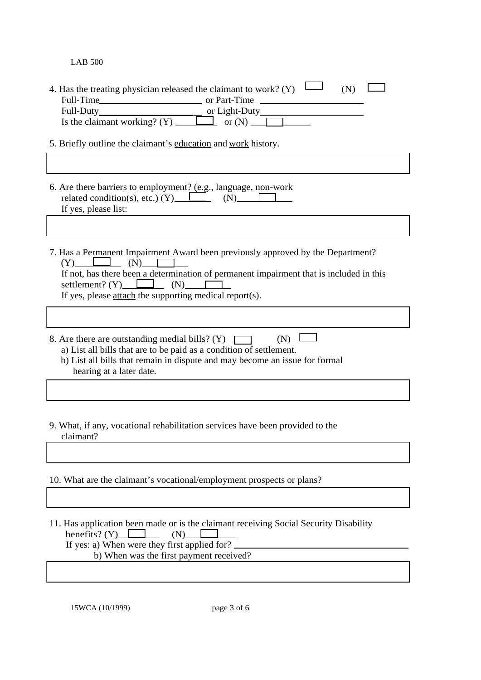| 4. Has the treating physician released the claimant to work? (Y) $\mathsf{L}$<br>(N)                                                                                                                                                                                                                            |
|-----------------------------------------------------------------------------------------------------------------------------------------------------------------------------------------------------------------------------------------------------------------------------------------------------------------|
|                                                                                                                                                                                                                                                                                                                 |
| Full-Duty<br>Is the claimant working? (Y) $\Box$ or (N) $\Box$                                                                                                                                                                                                                                                  |
|                                                                                                                                                                                                                                                                                                                 |
| 5. Briefly outline the claimant's education and work history.                                                                                                                                                                                                                                                   |
|                                                                                                                                                                                                                                                                                                                 |
| 6. Are there barriers to employment? (e.g., language, non-work<br>related condition(s), etc.) (Y) $\boxed{\qquad}$ (N) $\boxed{\qquad}$<br>If yes, please list:<br><u> 1980 - Johann Barn, mars an t-Amerikaansk kommunister (</u>                                                                              |
|                                                                                                                                                                                                                                                                                                                 |
| 7. Has a Permanent Impairment Award been previously approved by the Department?<br>$(Y)$ $\Box$ $(N)$ $\Box$<br>If not, has there been a determination of permanent impairment that is included in this<br>settlement? $(Y)$ (N) $\Box$<br>If yes, please $\frac{attach}{dt}$ the supporting medical report(s). |
|                                                                                                                                                                                                                                                                                                                 |
| $(N)$ $\Box$<br>8. Are there are outstanding medial bills? (Y)<br>a) List all bills that are to be paid as a condition of settlement.<br>b) List all bills that remain in dispute and may become an issue for formal<br>hearing at a later date.                                                                |
|                                                                                                                                                                                                                                                                                                                 |
| 9. What, if any, vocational rehabilitation services have been provided to the<br>claimant?                                                                                                                                                                                                                      |
|                                                                                                                                                                                                                                                                                                                 |
| 10. What are the claimant's vocational/employment prospects or plans?                                                                                                                                                                                                                                           |
|                                                                                                                                                                                                                                                                                                                 |
| 11. Has application been made or is the claimant receiving Social Security Disability<br>benefits? $(Y)$<br>(N)<br>If yes: a) When were they first applied for?                                                                                                                                                 |
| b) When was the first payment received?                                                                                                                                                                                                                                                                         |

15WCA (10/1999) page 3 of 6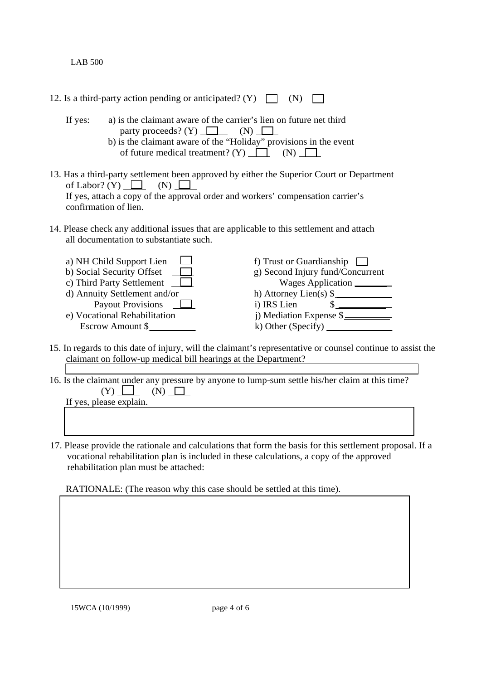|         | 12. Is a third-party action pending or anticipated? (Y) $\Box$                                                                                                                                                                         | (N)                                                                                                                                                                          |  |  |  |
|---------|----------------------------------------------------------------------------------------------------------------------------------------------------------------------------------------------------------------------------------------|------------------------------------------------------------------------------------------------------------------------------------------------------------------------------|--|--|--|
| If yes: | a) is the claimant aware of the carrier's lien on future net third<br>party proceeds? (Y) $\Box$ (N) $\Box$<br>b) is the claimant aware of the "Holiday" provisions in the event<br>of future medical treatment? (Y) $\Box$ (N) $\Box$ |                                                                                                                                                                              |  |  |  |
|         | of Labor? (Y) $\Box$ (N) $\Box$<br>confirmation of lien.                                                                                                                                                                               | 13. Has a third-party settlement been approved by either the Superior Court or Department<br>If yes, attach a copy of the approval order and workers' compensation carrier's |  |  |  |
|         | all documentation to substantiate such.                                                                                                                                                                                                | 14. Please check any additional issues that are applicable to this settlement and attach                                                                                     |  |  |  |
|         | a) NH Child Support Lien<br>b) Social Security Offset $\Box$<br>c) Third Party Settlement<br>d) Annuity Settlement and/or<br>Payout Provisions <u>L</u><br>e) Vocational Rehabilitation<br>Escrow Amount \$                            | f) Trust or Guardianship<br>g) Second Injury fund/Concurrent<br>Wages Application<br>h) Attorney Lien(s) \$<br>s<br>i) IRS Lien<br>j) Mediation Expense \$__________         |  |  |  |
|         |                                                                                                                                                                                                                                        | 15. In regards to this date of injury, will the claimant's representative or counsel continue to assist the                                                                  |  |  |  |

- 15. In regards to this date of injury, will the claimant's representative or counsel continue to assist the claimant on follow-up medical bill hearings at the Department?
- 16. Is the claimant under any pressure by anyone to lump-sum settle his/her claim at this time?  $(Y)$   $\Box$   $(N)$   $\Box$

If yes, please explain.

17. Please provide the rationale and calculations that form the basis for this settlement proposal. If a vocational rehabilitation plan is included in these calculations, a copy of the approved rehabilitation plan must be attached:

RATIONALE: (The reason why this case should be settled at this time).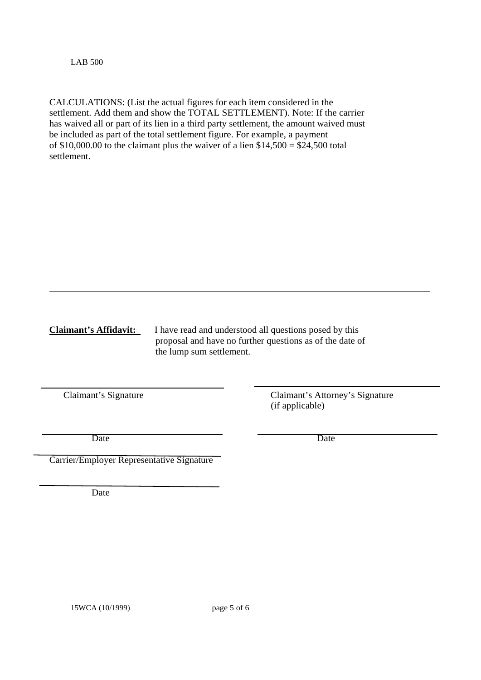CALCULATIONS: (List the actual figures for each item considered in the settlement. Add them and show the TOTAL SETTLEMENT). Note: If the carrier has waived all or part of its lien in a third party settlement, the amount waived must be included as part of the total settlement figure. For example, a payment of  $$10,000.00$  to the claimant plus the waiver of a lien  $$14,500 = $24,500$  total settlement.

**Claimant's Affidavit:** I have read and understood all questions posed by this proposal and have no further questions as of the date of the lump sum settlement.

Claimant's Signature Claimant's Attorney's Signature (if applicable)

Date Date Date

Carrier/Employer Representative Signature

Date